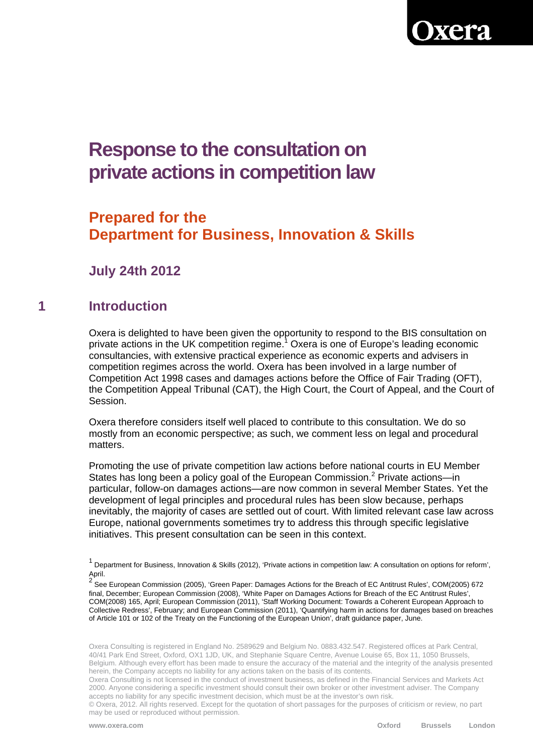

# **Response to the consultation on private actions in competition law**

# **Prepared for the Department for Business, Innovation & Skills**

**July 24th 2012** 

#### **1 Introduction**

Oxera is delighted to have been given the opportunity to respond to the BIS consultation on private actions in the UK competition regime.<sup>1</sup> Oxera is one of Europe's leading economic consultancies, with extensive practical experience as economic experts and advisers in competition regimes across the world. Oxera has been involved in a large number of Competition Act 1998 cases and damages actions before the Office of Fair Trading (OFT), the Competition Appeal Tribunal (CAT), the High Court, the Court of Appeal, and the Court of Session.

Oxera therefore considers itself well placed to contribute to this consultation. We do so mostly from an economic perspective; as such, we comment less on legal and procedural matters.

Promoting the use of private competition law actions before national courts in EU Member States has long been a policy goal of the European Commission.<sup>2</sup> Private actions—in particular, follow-on damages actions—are now common in several Member States. Yet the development of legal principles and procedural rules has been slow because, perhaps inevitably, the majority of cases are settled out of court. With limited relevant case law across Europe, national governments sometimes try to address this through specific legislative initiatives. This present consultation can be seen in this context.

Oxera Consulting is registered in England No. 2589629 and Belgium No. 0883.432.547. Registered offices at Park Central, 40/41 Park End Street, Oxford, OX1 1JD, UK, and Stephanie Square Centre, Avenue Louise 65, Box 11, 1050 Brussels, Belgium. Although every effort has been made to ensure the accuracy of the material and the integrity of the analysis presented herein, the Company accepts no liability for any actions taken on the basis of its contents.

Oxera Consulting is not licensed in the conduct of investment business, as defined in the Financial Services and Markets Act 2000. Anyone considering a specific investment should consult their own broker or other investment adviser. The Company accepts no liability for any specific investment decision, which must be at the investor's own risk.

<sup>&</sup>lt;sup>1</sup> Department for Business, Innovation & Skills (2012), 'Private actions in competition law: A consultation on options for reform', April.

<sup>&</sup>lt;sup>2</sup>.<br><sup>2</sup> See European Commission (2005), 'Green Paper: Damages Actions for the Breach of EC Antitrust Rules', COM(2005) 672 final, December; European Commission (2008), 'White Paper on Damages Actions for Breach of the EC Antitrust Rules', COM(2008) 165, April; European Commission (2011), 'Staff Working Document: Towards a Coherent European Approach to Collective Redress', February; and European Commission (2011), 'Quantifying harm in actions for damages based on breaches of Article 101 or 102 of the Treaty on the Functioning of the European Union', draft guidance paper, June.

<sup>©</sup> Oxera, 2012. All rights reserved. Except for the quotation of short passages for the purposes of criticism or review, no part may be used or reproduced without permission.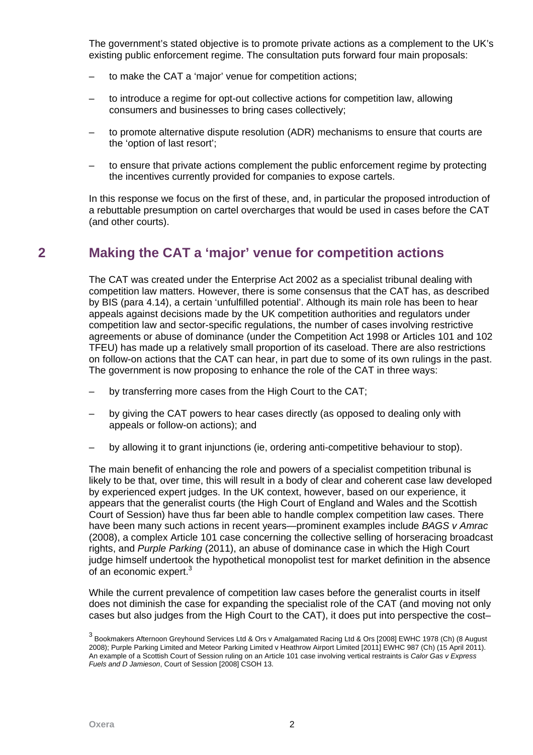The government's stated objective is to promote private actions as a complement to the UK's existing public enforcement regime. The consultation puts forward four main proposals:

- to make the CAT a 'major' venue for competition actions;
- to introduce a regime for opt-out collective actions for competition law, allowing consumers and businesses to bring cases collectively;
- to promote alternative dispute resolution (ADR) mechanisms to ensure that courts are the 'option of last resort';
- to ensure that private actions complement the public enforcement regime by protecting the incentives currently provided for companies to expose cartels.

In this response we focus on the first of these, and, in particular the proposed introduction of a rebuttable presumption on cartel overcharges that would be used in cases before the CAT (and other courts).

### **2 Making the CAT a 'major' venue for competition actions**

The CAT was created under the Enterprise Act 2002 as a specialist tribunal dealing with competition law matters. However, there is some consensus that the CAT has, as described by BIS (para 4.14), a certain 'unfulfilled potential'. Although its main role has been to hear appeals against decisions made by the UK competition authorities and regulators under competition law and sector-specific regulations, the number of cases involving restrictive agreements or abuse of dominance (under the Competition Act 1998 or Articles 101 and 102 TFEU) has made up a relatively small proportion of its caseload. There are also restrictions on follow-on actions that the CAT can hear, in part due to some of its own rulings in the past. The government is now proposing to enhance the role of the CAT in three ways:

- by transferring more cases from the High Court to the CAT;
- by giving the CAT powers to hear cases directly (as opposed to dealing only with appeals or follow-on actions); and
- by allowing it to grant injunctions (ie, ordering anti-competitive behaviour to stop).

The main benefit of enhancing the role and powers of a specialist competition tribunal is likely to be that, over time, this will result in a body of clear and coherent case law developed by experienced expert judges. In the UK context, however, based on our experience, it appears that the generalist courts (the High Court of England and Wales and the Scottish Court of Session) have thus far been able to handle complex competition law cases. There have been many such actions in recent years—prominent examples include *BAGS v Amrac* (2008), a complex Article 101 case concerning the collective selling of horseracing broadcast rights, and *Purple Parking* (2011), an abuse of dominance case in which the High Court judge himself undertook the hypothetical monopolist test for market definition in the absence of an economic expert.<sup>3</sup>

While the current prevalence of competition law cases before the generalist courts in itself does not diminish the case for expanding the specialist role of the CAT (and moving not only cases but also judges from the High Court to the CAT), it does put into perspective the cost–

<sup>&</sup>lt;sup>3</sup> Bookmakers Afternoon Greyhound Services Ltd & Ors v Amalgamated Racing Ltd & Ors [2008] EWHC 1978 (Ch) (8 August 2008); Purple Parking Limited and Meteor Parking Limited v Heathrow Airport Limited [2011] EWHC 987 (Ch) (15 April 2011). An example of a Scottish Court of Session ruling on an Article 101 case involving vertical restraints is *Calor Gas v Express Fuels and D Jamieson*, Court of Session [2008] CSOH 13.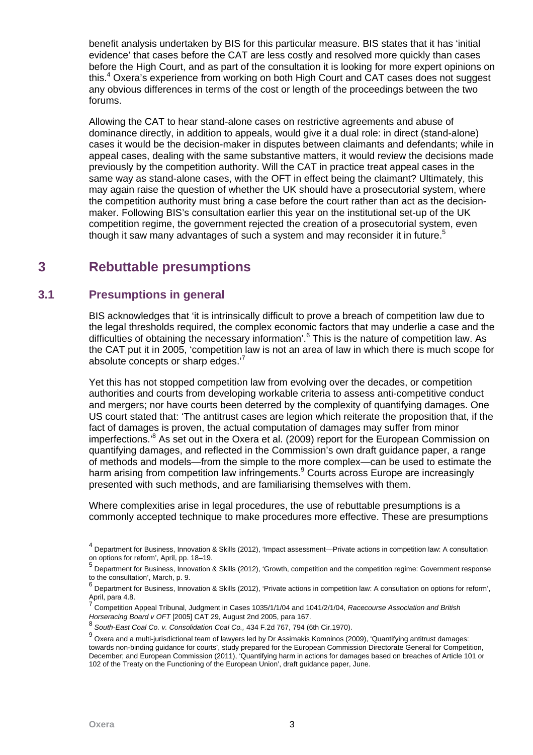benefit analysis undertaken by BIS for this particular measure. BIS states that it has 'initial evidence' that cases before the CAT are less costly and resolved more quickly than cases before the High Court, and as part of the consultation it is looking for more expert opinions on this.<sup>4</sup> Oxera's experience from working on both High Court and CAT cases does not suggest any obvious differences in terms of the cost or length of the proceedings between the two forums.

Allowing the CAT to hear stand-alone cases on restrictive agreements and abuse of dominance directly, in addition to appeals, would give it a dual role: in direct (stand-alone) cases it would be the decision-maker in disputes between claimants and defendants; while in appeal cases, dealing with the same substantive matters, it would review the decisions made previously by the competition authority. Will the CAT in practice treat appeal cases in the same way as stand-alone cases, with the OFT in effect being the claimant? Ultimately, this may again raise the question of whether the UK should have a prosecutorial system, where the competition authority must bring a case before the court rather than act as the decisionmaker. Following BIS's consultation earlier this year on the institutional set-up of the UK competition regime, the government rejected the creation of a prosecutorial system, even though it saw many advantages of such a system and may reconsider it in future.<sup>5</sup>

## **3 Rebuttable presumptions**

#### **3.1 Presumptions in general**

BIS acknowledges that 'it is intrinsically difficult to prove a breach of competition law due to the legal thresholds required, the complex economic factors that may underlie a case and the difficulties of obtaining the necessary information'.<sup>6</sup> This is the nature of competition law. As the CAT put it in 2005, 'competition law is not an area of law in which there is much scope for absolute concepts or sharp edges. $<sup>7</sup>$ </sup>

Yet this has not stopped competition law from evolving over the decades, or competition authorities and courts from developing workable criteria to assess anti-competitive conduct and mergers; nor have courts been deterred by the complexity of quantifying damages. One US court stated that: 'The antitrust cases are legion which reiterate the proposition that, if the fact of damages is proven, the actual computation of damages may suffer from minor imperfections.<sup>8</sup> As set out in the Oxera et al. (2009) report for the European Commission on quantifying damages, and reflected in the Commission's own draft guidance paper, a range of methods and models—from the simple to the more complex—can be used to estimate the harm arising from competition law infringements.<sup>9</sup> Courts across Europe are increasingly presented with such methods, and are familiarising themselves with them.

Where complexities arise in legal procedures, the use of rebuttable presumptions is a commonly accepted technique to make procedures more effective. These are presumptions

<sup>&</sup>lt;sup>4</sup> Department for Business, Innovation & Skills (2012), 'Impact assessment—Private actions in competition law: A consultation on options for reform', April, pp. 18–19. 5

Department for Business, Innovation & Skills (2012), 'Growth, competition and the competition regime: Government response to the consultation', March, p. 9.  $6$ 

Department for Business, Innovation & Skills (2012), 'Private actions in competition law: A consultation on options for reform', April, para 4.8.<br><sup>7</sup> Carratities A

Competition Appeal Tribunal, Judgment in Cases 1035/1/1/04 and 1041/2/1/04, *Racecourse Association and British Horseracing Board v OFT* [2005] CAT 29, August 2nd 2005, para 167.

<sup>8</sup> *South-East Coal Co. v. Consolidation Coal Co.,* 434 F.2d 767, 794 (6th Cir.1970).

 $^9$  Oxera and a multi-jurisdictional team of lawyers led by Dr Assimakis Komninos (2009), 'Quantifying antitrust damages: towards non-binding guidance for courts', study prepared for the European Commission Directorate General for Competition, December; and European Commission (2011), 'Quantifying harm in actions for damages based on breaches of Article 101 or 102 of the Treaty on the Functioning of the European Union', draft guidance paper, June.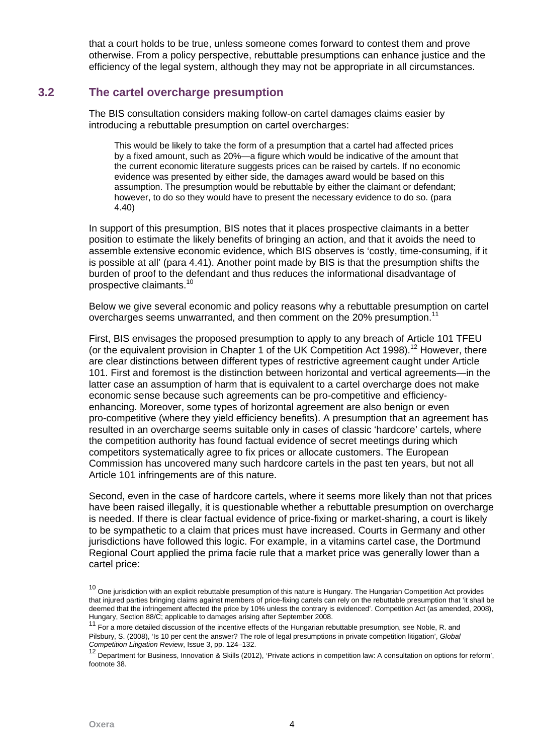that a court holds to be true, unless someone comes forward to contest them and prove otherwise. From a policy perspective, rebuttable presumptions can enhance justice and the efficiency of the legal system, although they may not be appropriate in all circumstances.

#### **3.2 The cartel overcharge presumption**

The BIS consultation considers making follow-on cartel damages claims easier by introducing a rebuttable presumption on cartel overcharges:

This would be likely to take the form of a presumption that a cartel had affected prices by a fixed amount, such as 20%—a figure which would be indicative of the amount that the current economic literature suggests prices can be raised by cartels. If no economic evidence was presented by either side, the damages award would be based on this assumption. The presumption would be rebuttable by either the claimant or defendant; however, to do so they would have to present the necessary evidence to do so. (para 4.40)

In support of this presumption, BIS notes that it places prospective claimants in a better position to estimate the likely benefits of bringing an action, and that it avoids the need to assemble extensive economic evidence, which BIS observes is 'costly, time-consuming, if it is possible at all' (para 4.41). Another point made by BIS is that the presumption shifts the burden of proof to the defendant and thus reduces the informational disadvantage of prospective claimants.10

Below we give several economic and policy reasons why a rebuttable presumption on cartel overcharges seems unwarranted, and then comment on the 20% presumption.<sup>11</sup>

First, BIS envisages the proposed presumption to apply to any breach of Article 101 TFEU (or the equivalent provision in Chapter 1 of the UK Competition Act 1998).<sup>12</sup> However, there are clear distinctions between different types of restrictive agreement caught under Article 101. First and foremost is the distinction between horizontal and vertical agreements—in the latter case an assumption of harm that is equivalent to a cartel overcharge does not make economic sense because such agreements can be pro-competitive and efficiencyenhancing. Moreover, some types of horizontal agreement are also benign or even pro-competitive (where they yield efficiency benefits). A presumption that an agreement has resulted in an overcharge seems suitable only in cases of classic 'hardcore' cartels, where the competition authority has found factual evidence of secret meetings during which competitors systematically agree to fix prices or allocate customers. The European Commission has uncovered many such hardcore cartels in the past ten years, but not all Article 101 infringements are of this nature.

Second, even in the case of hardcore cartels, where it seems more likely than not that prices have been raised illegally, it is questionable whether a rebuttable presumption on overcharge is needed. If there is clear factual evidence of price-fixing or market-sharing, a court is likely to be sympathetic to a claim that prices must have increased. Courts in Germany and other jurisdictions have followed this logic. For example, in a vitamins cartel case, the Dortmund Regional Court applied the prima facie rule that a market price was generally lower than a cartel price:

 $10$  One jurisdiction with an explicit rebuttable presumption of this nature is Hungary. The Hungarian Competition Act provides that injured parties bringing claims against members of price-fixing cartels can rely on the rebuttable presumption that 'it shall be deemed that the infringement affected the price by 10% unless the contrary is evidenced'. Competition Act (as amended, 2008), Hungary, Section 88/C; applicable to damages arising after September 2008.

<sup>&</sup>lt;sup>11</sup> For a more detailed discussion of the incentive effects of the Hungarian rebuttable presumption, see Noble, R. and Pilsbury, S. (2008), 'Is 10 per cent the answer? The role of legal presumptions in private competition litigation', *Global* 

*Competition Litigation Review*, Issue 3, pp. 124–132.<br><sup>12</sup> Department for Business, Innovation & Skills (2012), 'Private actions in competition law: A consultation on options for reform', footnote 38.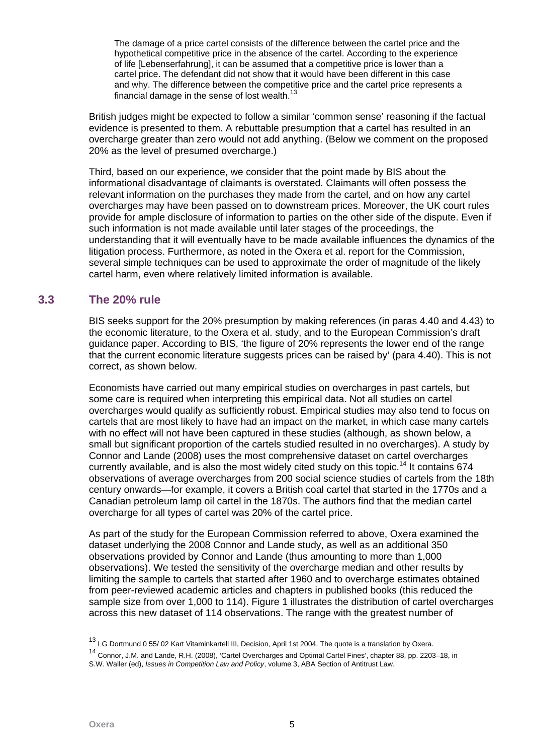The damage of a price cartel consists of the difference between the cartel price and the hypothetical competitive price in the absence of the cartel. According to the experience of life [Lebenserfahrung], it can be assumed that a competitive price is lower than a cartel price. The defendant did not show that it would have been different in this case and why. The difference between the competitive price and the cartel price represents a financial damage in the sense of lost wealth.<sup>13</sup>

British judges might be expected to follow a similar 'common sense' reasoning if the factual evidence is presented to them. A rebuttable presumption that a cartel has resulted in an overcharge greater than zero would not add anything. (Below we comment on the proposed 20% as the level of presumed overcharge.)

Third, based on our experience, we consider that the point made by BIS about the informational disadvantage of claimants is overstated. Claimants will often possess the relevant information on the purchases they made from the cartel, and on how any cartel overcharges may have been passed on to downstream prices. Moreover, the UK court rules provide for ample disclosure of information to parties on the other side of the dispute. Even if such information is not made available until later stages of the proceedings, the understanding that it will eventually have to be made available influences the dynamics of the litigation process. Furthermore, as noted in the Oxera et al. report for the Commission, several simple techniques can be used to approximate the order of magnitude of the likely cartel harm, even where relatively limited information is available.

#### **3.3 The 20% rule**

BIS seeks support for the 20% presumption by making references (in paras 4.40 and 4.43) to the economic literature, to the Oxera et al. study, and to the European Commission's draft guidance paper. According to BIS, 'the figure of 20% represents the lower end of the range that the current economic literature suggests prices can be raised by' (para 4.40). This is not correct, as shown below.

Economists have carried out many empirical studies on overcharges in past cartels, but some care is required when interpreting this empirical data. Not all studies on cartel overcharges would qualify as sufficiently robust. Empirical studies may also tend to focus on cartels that are most likely to have had an impact on the market, in which case many cartels with no effect will not have been captured in these studies (although, as shown below, a small but significant proportion of the cartels studied resulted in no overcharges). A study by Connor and Lande (2008) uses the most comprehensive dataset on cartel overcharges currently available, and is also the most widely cited study on this topic.<sup>14</sup> It contains 674 observations of average overcharges from 200 social science studies of cartels from the 18th century onwards—for example, it covers a British coal cartel that started in the 1770s and a Canadian petroleum lamp oil cartel in the 1870s. The authors find that the median cartel overcharge for all types of cartel was 20% of the cartel price.

As part of the study for the European Commission referred to above, Oxera examined the dataset underlying the 2008 Connor and Lande study, as well as an additional 350 observations provided by Connor and Lande (thus amounting to more than 1,000 observations). We tested the sensitivity of the overcharge median and other results by limiting the sample to cartels that started after 1960 and to overcharge estimates obtained from peer-reviewed academic articles and chapters in published books (this reduced the sample size from over 1,000 to 114). Figure 1 illustrates the distribution of cartel overcharges across this new dataset of 114 observations. The range with the greatest number of

<sup>&</sup>lt;sup>13</sup> LG Dortmund 0 55/ 02 Kart Vitaminkartell III, Decision, April 1st 2004. The quote is a translation by Oxera.

<sup>14</sup> Connor, J.M. and Lande, R.H. (2008), 'Cartel Overcharges and Optimal Cartel Fines', chapter 88, pp. 2203–18, in S.W. Waller (ed), *Issues in Competition Law and Policy*, volume 3, ABA Section of Antitrust Law.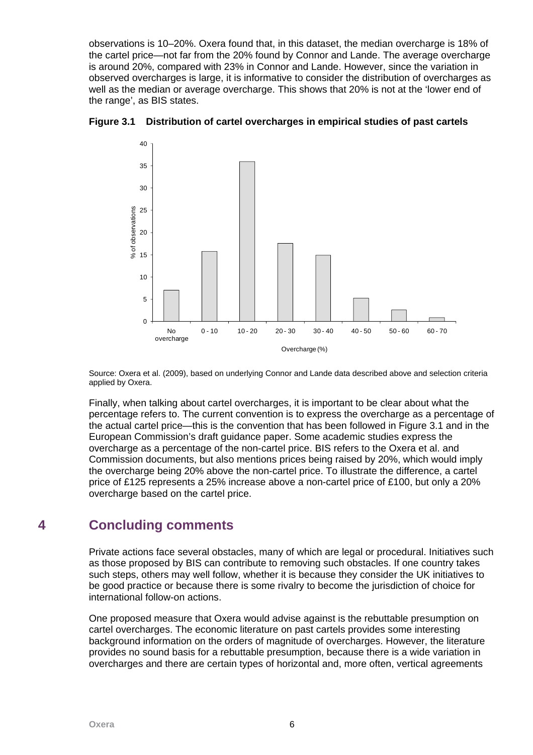observations is 10–20%. Oxera found that, in this dataset, the median overcharge is 18% of the cartel price—not far from the 20% found by Connor and Lande. The average overcharge is around 20%, compared with 23% in Connor and Lande. However, since the variation in observed overcharges is large, it is informative to consider the distribution of overcharges as well as the median or average overcharge. This shows that 20% is not at the 'lower end of the range', as BIS states.





Source: Oxera et al. (2009), based on underlying Connor and Lande data described above and selection criteria applied by Oxera.

Finally, when talking about cartel overcharges, it is important to be clear about what the percentage refers to. The current convention is to express the overcharge as a percentage of the actual cartel price—this is the convention that has been followed in Figure 3.1 and in the European Commission's draft guidance paper. Some academic studies express the overcharge as a percentage of the non-cartel price. BIS refers to the Oxera et al. and Commission documents, but also mentions prices being raised by 20%, which would imply the overcharge being 20% above the non-cartel price. To illustrate the difference, a cartel price of £125 represents a 25% increase above a non-cartel price of £100, but only a 20% overcharge based on the cartel price.

## **4 Concluding comments**

Private actions face several obstacles, many of which are legal or procedural. Initiatives such as those proposed by BIS can contribute to removing such obstacles. If one country takes such steps, others may well follow, whether it is because they consider the UK initiatives to be good practice or because there is some rivalry to become the jurisdiction of choice for international follow-on actions.

One proposed measure that Oxera would advise against is the rebuttable presumption on cartel overcharges. The economic literature on past cartels provides some interesting background information on the orders of magnitude of overcharges. However, the literature provides no sound basis for a rebuttable presumption, because there is a wide variation in overcharges and there are certain types of horizontal and, more often, vertical agreements